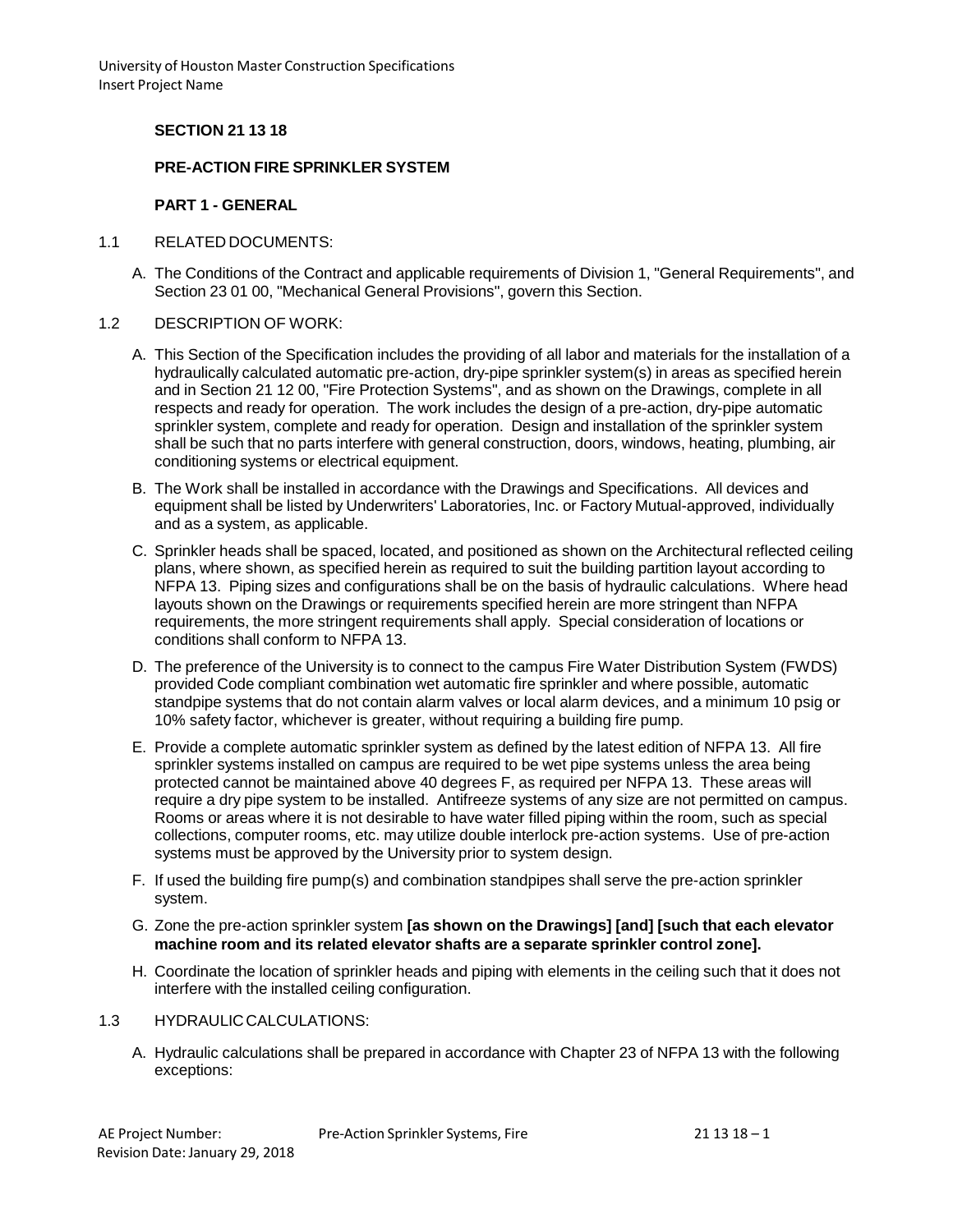# **SECTION 21 13 18**

### **PRE-ACTION FIRE SPRINKLER SYSTEM**

### **PART 1 - GENERAL**

- 1.1 RELATED DOCUMENTS:
	- A. The Conditions of the Contract and applicable requirements of Division 1, "General Requirements", and Section 23 01 00, "Mechanical General Provisions", govern this Section.
- 1.2 DESCRIPTION OF WORK:
	- A. This Section of the Specification includes the providing of all labor and materials for the installation of a hydraulically calculated automatic pre-action, dry-pipe sprinkler system(s) in areas as specified herein and in Section 21 12 00, "Fire Protection Systems", and as shown on the Drawings, complete in all respects and ready for operation. The work includes the design of a pre-action, dry-pipe automatic sprinkler system, complete and ready for operation. Design and installation of the sprinkler system shall be such that no parts interfere with general construction, doors, windows, heating, plumbing, air conditioning systems or electrical equipment.
	- B. The Work shall be installed in accordance with the Drawings and Specifications. All devices and equipment shall be listed by Underwriters' Laboratories, Inc. or Factory Mutual-approved, individually and as a system, as applicable.
	- C. Sprinkler heads shall be spaced, located, and positioned as shown on the Architectural reflected ceiling plans, where shown, as specified herein as required to suit the building partition layout according to NFPA 13. Piping sizes and configurations shall be on the basis of hydraulic calculations. Where head layouts shown on the Drawings or requirements specified herein are more stringent than NFPA requirements, the more stringent requirements shall apply. Special consideration of locations or conditions shall conform to NFPA 13.
	- D. The preference of the University is to connect to the campus Fire Water Distribution System (FWDS) provided Code compliant combination wet automatic fire sprinkler and where possible, automatic standpipe systems that do not contain alarm valves or local alarm devices, and a minimum 10 psig or 10% safety factor, whichever is greater, without requiring a building fire pump.
	- E. Provide a complete automatic sprinkler system as defined by the latest edition of NFPA 13. All fire sprinkler systems installed on campus are required to be wet pipe systems unless the area being protected cannot be maintained above 40 degrees F, as required per NFPA 13. These areas will require a dry pipe system to be installed. Antifreeze systems of any size are not permitted on campus. Rooms or areas where it is not desirable to have water filled piping within the room, such as special collections, computer rooms, etc. may utilize double interlock pre-action systems. Use of pre-action systems must be approved by the University prior to system design.
	- F. If used the building fire pump(s) and combination standpipes shall serve the pre-action sprinkler system.
	- G. Zone the pre-action sprinkler system **[as shown on the Drawings] [and] [such that each elevator machine room and its related elevator shafts are a separate sprinkler control zone].**
	- H. Coordinate the location of sprinkler heads and piping with elements in the ceiling such that it does not interfere with the installed ceiling configuration.

#### 1.3 HYDRAULICCALCULATIONS:

A. Hydraulic calculations shall be prepared in accordance with Chapter 23 of NFPA 13 with the following exceptions: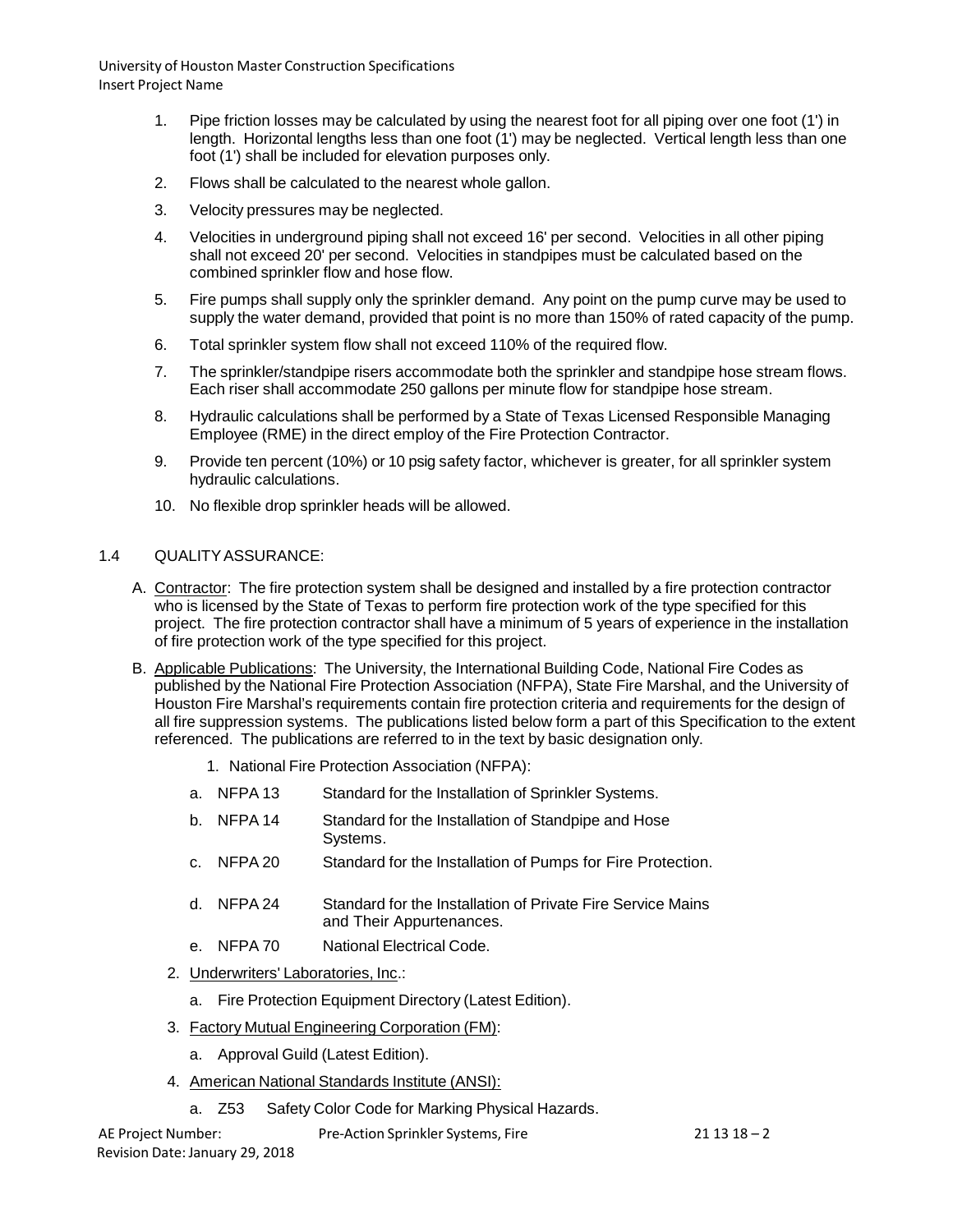- 1. Pipe friction losses may be calculated by using the nearest foot for all piping over one foot (1') in length. Horizontal lengths less than one foot (1') may be neglected. Vertical length less than one foot (1') shall be included for elevation purposes only.
- 2. Flows shall be calculated to the nearest whole gallon.
- 3. Velocity pressures may be neglected.
- 4. Velocities in underground piping shall not exceed 16' per second. Velocities in all other piping shall not exceed 20' per second. Velocities in standpipes must be calculated based on the combined sprinkler flow and hose flow.
- 5. Fire pumps shall supply only the sprinkler demand. Any point on the pump curve may be used to supply the water demand, provided that point is no more than 150% of rated capacity of the pump.
- 6. Total sprinkler system flow shall not exceed 110% of the required flow.
- 7. The sprinkler/standpipe risers accommodate both the sprinkler and standpipe hose stream flows. Each riser shall accommodate 250 gallons per minute flow for standpipe hose stream.
- 8. Hydraulic calculations shall be performed by a State of Texas Licensed Responsible Managing Employee (RME) in the direct employ of the Fire Protection Contractor.
- 9. Provide ten percent (10%) or 10 psig safety factor, whichever is greater, for all sprinkler system hydraulic calculations.
- 10. No flexible drop sprinkler heads will be allowed.

# 1.4 QUALITYASSURANCE:

- A. Contractor: The fire protection system shall be designed and installed by a fire protection contractor who is licensed by the State of Texas to perform fire protection work of the type specified for this project. The fire protection contractor shall have a minimum of 5 years of experience in the installation of fire protection work of the type specified for this project.
- B. Applicable Publications: The University, the International Building Code, National Fire Codes as published by the National Fire Protection Association (NFPA), State Fire Marshal, and the University of Houston Fire Marshal's requirements contain fire protection criteria and requirements for the design of all fire suppression systems. The publications listed below form a part of this Specification to the extent referenced. The publications are referred to in the text by basic designation only.
	- 1. National Fire Protection Association (NFPA):
	- a. NFPA 13 Standard for the Installation of Sprinkler Systems.
	- b. NFPA 14 Standard for the Installation of Standpipe and Hose Systems.
	- c. NFPA 20 Standard for the Installation of Pumps for Fire Protection.
	- d. NFPA 24 Standard for the Installation of Private Fire Service Mains and Their Appurtenances.
	- e. NFPA 70 National Electrical Code.
	- 2. Underwriters' Laboratories, Inc.:
		- a. Fire Protection Equipment Directory (Latest Edition).
	- 3. Factory Mutual Engineering Corporation (FM):
		- a. Approval Guild (Latest Edition).
	- 4. American National Standards Institute (ANSI):
		- a. Z53 Safety Color Code for Marking Physical Hazards.

AE Project Number: Revision Date: January 29, 2018 Pre-Action Sprinkler Systems, Fire 21 13 18 - 2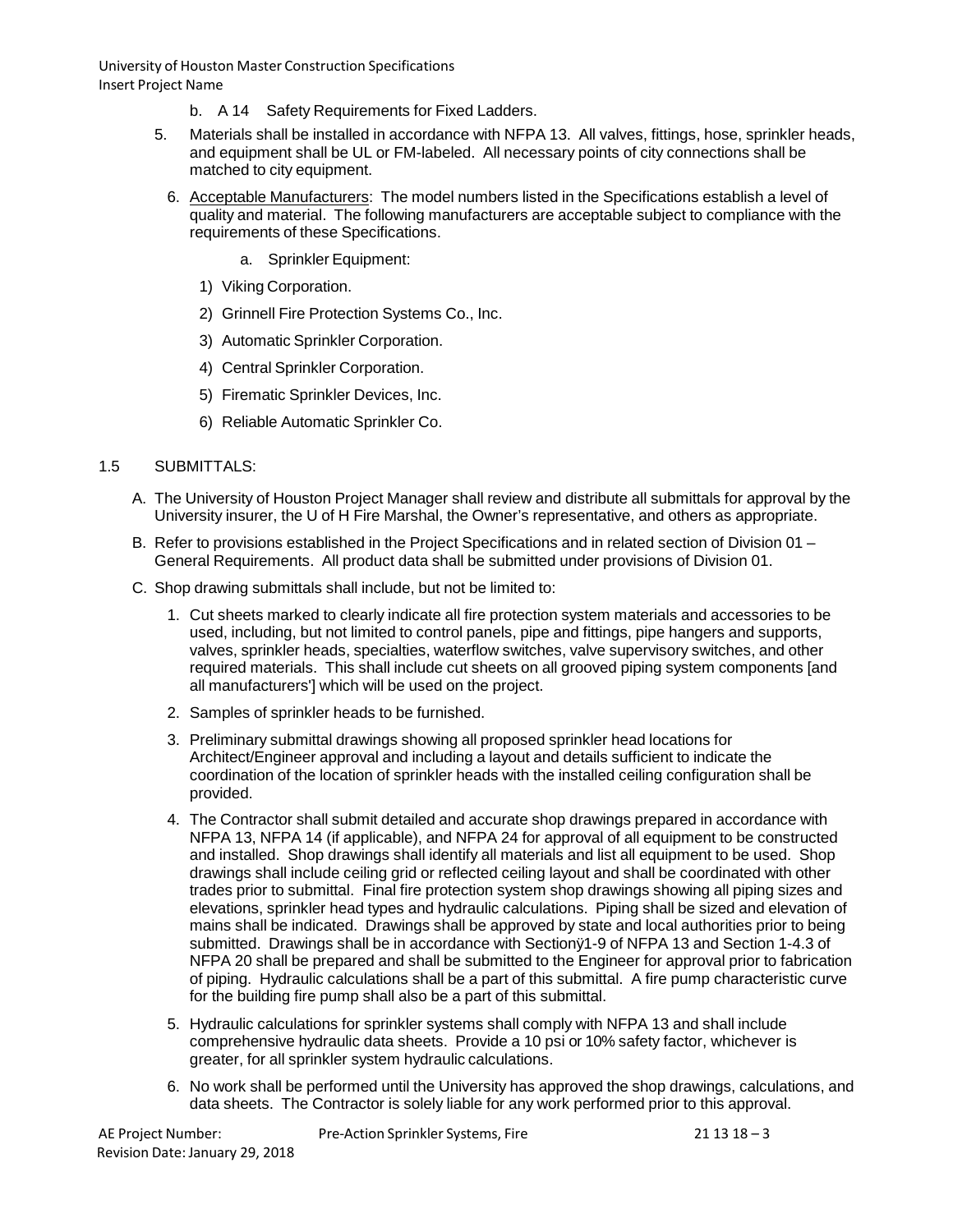- b. A 14 Safety Requirements for Fixed Ladders.
- 5. Materials shall be installed in accordance with NFPA 13. All valves, fittings, hose, sprinkler heads, and equipment shall be UL or FM-labeled. All necessary points of city connections shall be matched to city equipment.
	- 6. Acceptable Manufacturers: The model numbers listed in the Specifications establish a level of quality and material. The following manufacturers are acceptable subject to compliance with the requirements of these Specifications.
		- a. Sprinkler Equipment:
		- 1) Viking Corporation.
		- 2) Grinnell Fire Protection Systems Co., Inc.
		- 3) Automatic Sprinkler Corporation.
		- 4) Central Sprinkler Corporation.
		- 5) Firematic Sprinkler Devices, Inc.
		- 6) Reliable Automatic Sprinkler Co.

### 1.5 SUBMITTALS:

- A. The University of Houston Project Manager shall review and distribute all submittals for approval by the University insurer, the U of H Fire Marshal, the Owner's representative, and others as appropriate.
- B. Refer to provisions established in the Project Specifications and in related section of Division 01 General Requirements. All product data shall be submitted under provisions of Division 01.
- C. Shop drawing submittals shall include, but not be limited to:
	- 1. Cut sheets marked to clearly indicate all fire protection system materials and accessories to be used, including, but not limited to control panels, pipe and fittings, pipe hangers and supports, valves, sprinkler heads, specialties, waterflow switches, valve supervisory switches, and other required materials. This shall include cut sheets on all grooved piping system components [and all manufacturers'] which will be used on the project.
	- 2. Samples of sprinkler heads to be furnished.
	- 3. Preliminary submittal drawings showing all proposed sprinkler head locations for Architect/Engineer approval and including a layout and details sufficient to indicate the coordination of the location of sprinkler heads with the installed ceiling configuration shall be provided.
	- 4. The Contractor shall submit detailed and accurate shop drawings prepared in accordance with NFPA 13, NFPA 14 (if applicable), and NFPA 24 for approval of all equipment to be constructed and installed. Shop drawings shall identify all materials and list all equipment to be used. Shop drawings shall include ceiling grid or reflected ceiling layout and shall be coordinated with other trades prior to submittal. Final fire protection system shop drawings showing all piping sizes and elevations, sprinkler head types and hydraulic calculations. Piping shall be sized and elevation of mains shall be indicated. Drawings shall be approved by state and local authorities prior to being submitted. Drawings shall be in accordance with Sectionÿ1-9 of NFPA 13 and Section 1-4.3 of NFPA 20 shall be prepared and shall be submitted to the Engineer for approval prior to fabrication of piping. Hydraulic calculations shall be a part of this submittal. A fire pump characteristic curve for the building fire pump shall also be a part of this submittal.
	- 5. Hydraulic calculations for sprinkler systems shall comply with NFPA 13 and shall include comprehensive hydraulic data sheets. Provide a 10 psi or 10% safety factor, whichever is greater, for all sprinkler system hydraulic calculations.
	- 6. No work shall be performed until the University has approved the shop drawings, calculations, and data sheets. The Contractor is solely liable for any work performed prior to this approval.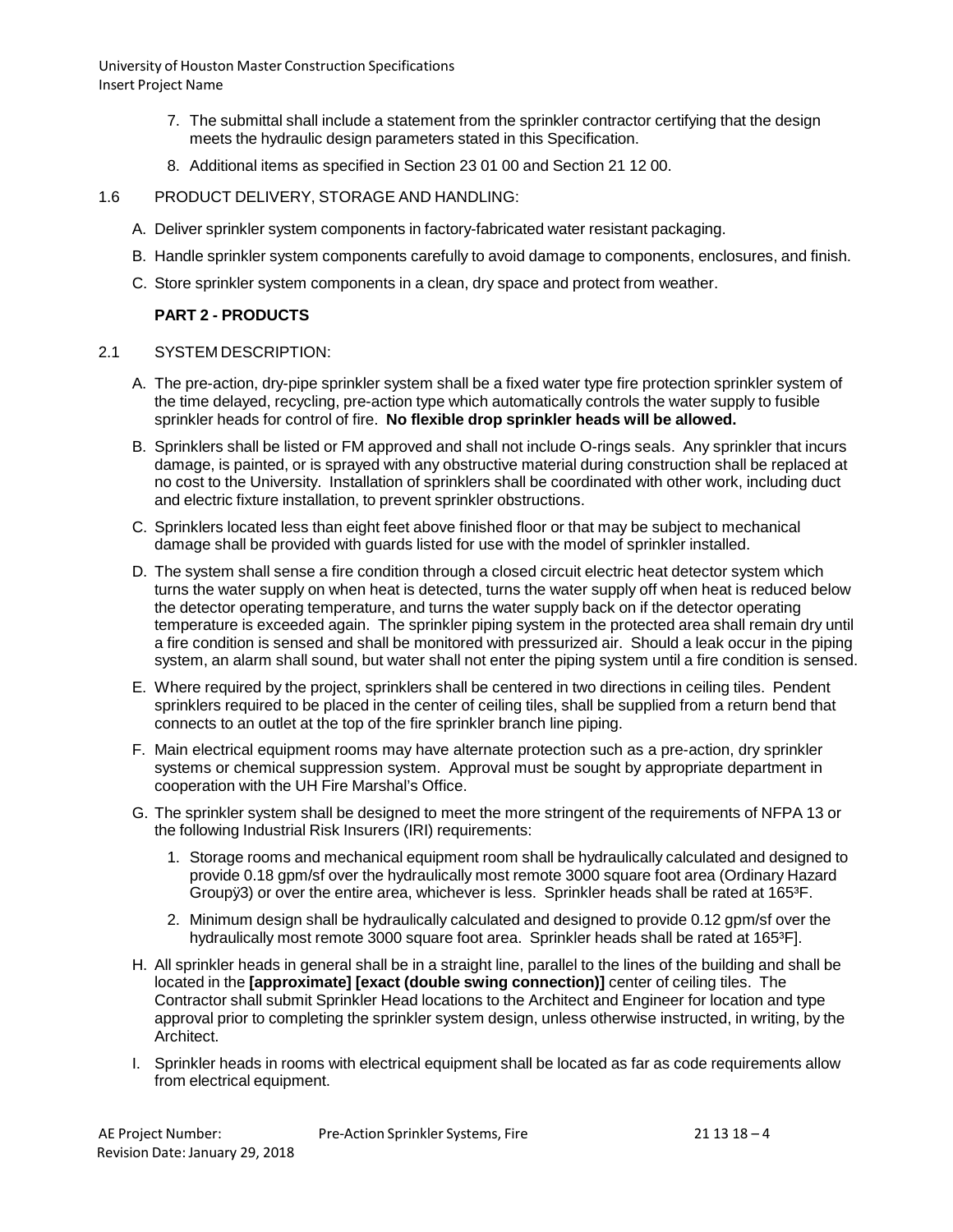- 7. The submittal shall include a statement from the sprinkler contractor certifying that the design meets the hydraulic design parameters stated in this Specification.
- 8. Additional items as specified in Section 23 01 00 and Section 21 12 00.

# 1.6 PRODUCT DELIVERY, STORAGE AND HANDLING:

- A. Deliver sprinkler system components in factory-fabricated water resistant packaging.
- B. Handle sprinkler system components carefully to avoid damage to components, enclosures, and finish.
- C. Store sprinkler system components in a clean, dry space and protect from weather.

### **PART 2 - PRODUCTS**

### 2.1 SYSTEM DESCRIPTION:

- A. The pre-action, dry-pipe sprinkler system shall be a fixed water type fire protection sprinkler system of the time delayed, recycling, pre-action type which automatically controls the water supply to fusible sprinkler heads for control of fire. **No flexible drop sprinkler heads will be allowed.**
- B. Sprinklers shall be listed or FM approved and shall not include O-rings seals. Any sprinkler that incurs damage, is painted, or is sprayed with any obstructive material during construction shall be replaced at no cost to the University. Installation of sprinklers shall be coordinated with other work, including duct and electric fixture installation, to prevent sprinkler obstructions.
- C. Sprinklers located less than eight feet above finished floor or that may be subject to mechanical damage shall be provided with guards listed for use with the model of sprinkler installed.
- D. The system shall sense a fire condition through a closed circuit electric heat detector system which turns the water supply on when heat is detected, turns the water supply off when heat is reduced below the detector operating temperature, and turns the water supply back on if the detector operating temperature is exceeded again. The sprinkler piping system in the protected area shall remain dry until a fire condition is sensed and shall be monitored with pressurized air. Should a leak occur in the piping system, an alarm shall sound, but water shall not enter the piping system until a fire condition is sensed.
- E. Where required by the project, sprinklers shall be centered in two directions in ceiling tiles. Pendent sprinklers required to be placed in the center of ceiling tiles, shall be supplied from a return bend that connects to an outlet at the top of the fire sprinkler branch line piping.
- F. Main electrical equipment rooms may have alternate protection such as a pre-action, dry sprinkler systems or chemical suppression system. Approval must be sought by appropriate department in cooperation with the UH Fire Marshal's Office.
- G. The sprinkler system shall be designed to meet the more stringent of the requirements of NFPA 13 or the following Industrial Risk Insurers (IRI) requirements:
	- 1. Storage rooms and mechanical equipment room shall be hydraulically calculated and designed to provide 0.18 gpm/sf over the hydraulically most remote 3000 square foot area (Ordinary Hazard Groupÿ3) or over the entire area, whichever is less. Sprinkler heads shall be rated at 165<sup>3</sup>F.
	- 2. Minimum design shall be hydraulically calculated and designed to provide 0.12 gpm/sf over the hydraulically most remote 3000 square foot area. Sprinkler heads shall be rated at 165<sup>3</sup>F].
- H. All sprinkler heads in general shall be in a straight line, parallel to the lines of the building and shall be located in the **[approximate] [exact (double swing connection)]** center of ceiling tiles. The Contractor shall submit Sprinkler Head locations to the Architect and Engineer for location and type approval prior to completing the sprinkler system design, unless otherwise instructed, in writing, by the Architect.
- I. Sprinkler heads in rooms with electrical equipment shall be located as far as code requirements allow from electrical equipment.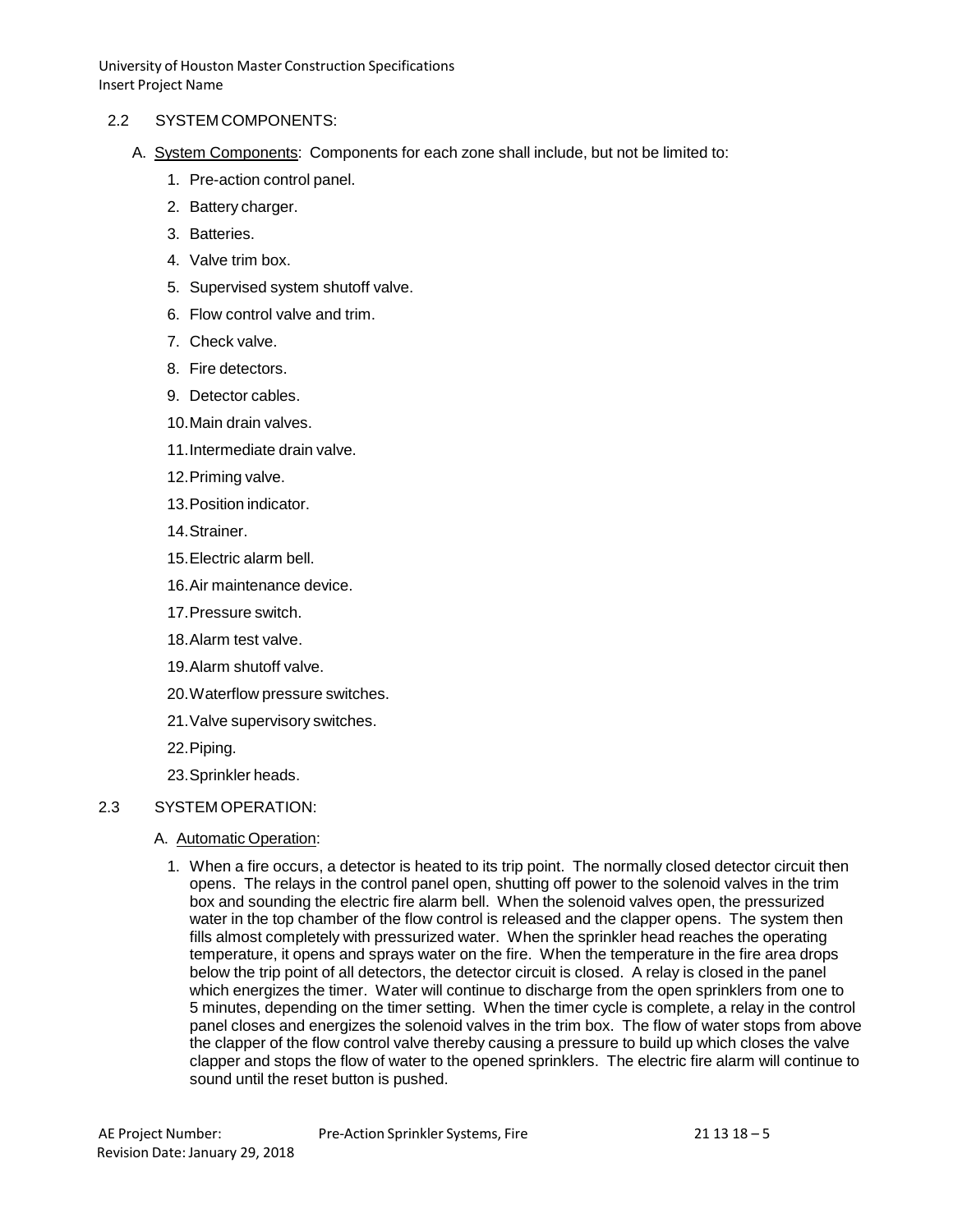#### 2.2 SYSTEM COMPONENTS:

- A. System Components: Components for each zone shall include, but not be limited to:
	- 1. Pre-action control panel.
	- 2. Battery charger.
	- 3. Batteries.
	- 4. Valve trim box.
	- 5. Supervised system shutoff valve.
	- 6. Flow control valve and trim.
	- 7. Check valve.
	- 8. Fire detectors.
	- 9. Detector cables.
	- 10.Main drain valves.
	- 11.Intermediate drain valve.
	- 12.Priming valve.
	- 13.Position indicator.
	- 14.Strainer.
	- 15.Electric alarm bell.
	- 16.Air maintenance device.
	- 17.Pressure switch.
	- 18.Alarm test valve.
	- 19.Alarm shutoff valve.
	- 20.Waterflow pressure switches.
	- 21.Valve supervisory switches.
	- 22.Piping.
	- 23.Sprinkler heads.

# 2.3 SYSTEM OPERATION:

- A. Automatic Operation:
	- 1. When a fire occurs, a detector is heated to its trip point. The normally closed detector circuit then opens. The relays in the control panel open, shutting off power to the solenoid valves in the trim box and sounding the electric fire alarm bell. When the solenoid valves open, the pressurized water in the top chamber of the flow control is released and the clapper opens. The system then fills almost completely with pressurized water. When the sprinkler head reaches the operating temperature, it opens and sprays water on the fire. When the temperature in the fire area drops below the trip point of all detectors, the detector circuit is closed. A relay is closed in the panel which energizes the timer. Water will continue to discharge from the open sprinklers from one to 5 minutes, depending on the timer setting. When the timer cycle is complete, a relay in the control panel closes and energizes the solenoid valves in the trim box. The flow of water stops from above the clapper of the flow control valve thereby causing a pressure to build up which closes the valve clapper and stops the flow of water to the opened sprinklers. The electric fire alarm will continue to sound until the reset button is pushed.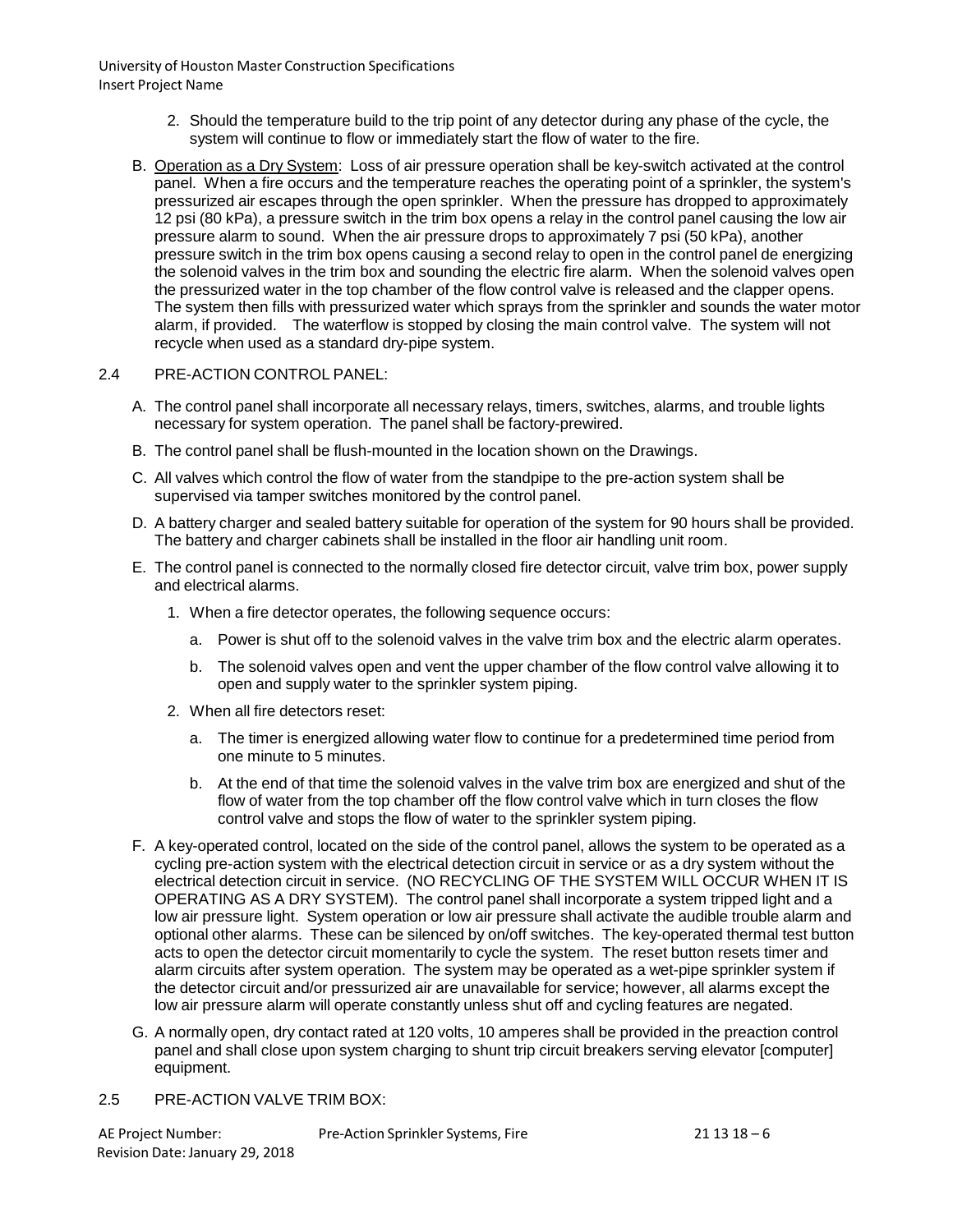- 2. Should the temperature build to the trip point of any detector during any phase of the cycle, the system will continue to flow or immediately start the flow of water to the fire.
- B. Operation as a Dry System: Loss of air pressure operation shall be key-switch activated at the control panel. When a fire occurs and the temperature reaches the operating point of a sprinkler, the system's pressurized air escapes through the open sprinkler. When the pressure has dropped to approximately 12 psi (80 kPa), a pressure switch in the trim box opens a relay in the control panel causing the low air pressure alarm to sound. When the air pressure drops to approximately 7 psi (50 kPa), another pressure switch in the trim box opens causing a second relay to open in the control panel de energizing the solenoid valves in the trim box and sounding the electric fire alarm. When the solenoid valves open the pressurized water in the top chamber of the flow control valve is released and the clapper opens. The system then fills with pressurized water which sprays from the sprinkler and sounds the water motor alarm, if provided. The waterflow is stopped by closing the main control valve. The system will not recycle when used as a standard dry-pipe system.

### 2.4 PRE-ACTION CONTROL PANEL:

- A. The control panel shall incorporate all necessary relays, timers, switches, alarms, and trouble lights necessary for system operation. The panel shall be factory-prewired.
- B. The control panel shall be flush-mounted in the location shown on the Drawings.
- C. All valves which control the flow of water from the standpipe to the pre-action system shall be supervised via tamper switches monitored by the control panel.
- D. A battery charger and sealed battery suitable for operation of the system for 90 hours shall be provided. The battery and charger cabinets shall be installed in the floor air handling unit room.
- E. The control panel is connected to the normally closed fire detector circuit, valve trim box, power supply and electrical alarms.
	- 1. When a fire detector operates, the following sequence occurs:
		- a. Power is shut off to the solenoid valves in the valve trim box and the electric alarm operates.
		- b. The solenoid valves open and vent the upper chamber of the flow control valve allowing it to open and supply water to the sprinkler system piping.
	- 2. When all fire detectors reset:
		- a. The timer is energized allowing water flow to continue for a predetermined time period from one minute to 5 minutes.
		- b. At the end of that time the solenoid valves in the valve trim box are energized and shut of the flow of water from the top chamber off the flow control valve which in turn closes the flow control valve and stops the flow of water to the sprinkler system piping.
- F. A key-operated control, located on the side of the control panel, allows the system to be operated as a cycling pre-action system with the electrical detection circuit in service or as a dry system without the electrical detection circuit in service. (NO RECYCLING OF THE SYSTEM WILL OCCUR WHEN IT IS OPERATING AS A DRY SYSTEM). The control panel shall incorporate a system tripped light and a low air pressure light. System operation or low air pressure shall activate the audible trouble alarm and optional other alarms. These can be silenced by on/off switches. The key-operated thermal test button acts to open the detector circuit momentarily to cycle the system. The reset button resets timer and alarm circuits after system operation. The system may be operated as a wet-pipe sprinkler system if the detector circuit and/or pressurized air are unavailable for service; however, all alarms except the low air pressure alarm will operate constantly unless shut off and cycling features are negated.
- G. A normally open, dry contact rated at 120 volts, 10 amperes shall be provided in the preaction control panel and shall close upon system charging to shunt trip circuit breakers serving elevator [computer] equipment.
- 2.5 PRE-ACTION VALVE TRIM BOX: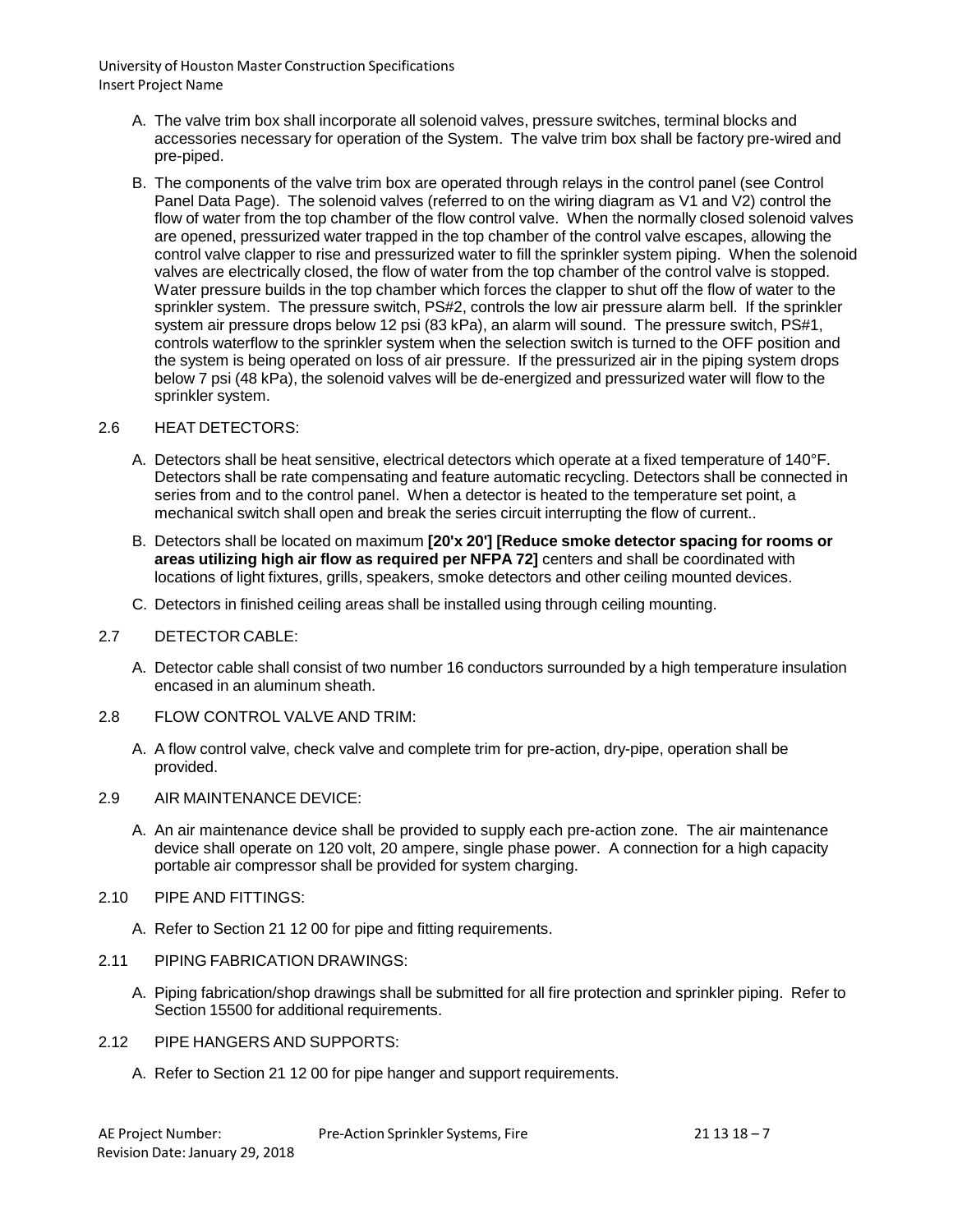- A. The valve trim box shall incorporate all solenoid valves, pressure switches, terminal blocks and accessories necessary for operation of the System. The valve trim box shall be factory pre-wired and pre-piped.
- B. The components of the valve trim box are operated through relays in the control panel (see Control Panel Data Page). The solenoid valves (referred to on the wiring diagram as V1 and V2) control the flow of water from the top chamber of the flow control valve. When the normally closed solenoid valves are opened, pressurized water trapped in the top chamber of the control valve escapes, allowing the control valve clapper to rise and pressurized water to fill the sprinkler system piping. When the solenoid valves are electrically closed, the flow of water from the top chamber of the control valve is stopped. Water pressure builds in the top chamber which forces the clapper to shut off the flow of water to the sprinkler system. The pressure switch, PS#2, controls the low air pressure alarm bell. If the sprinkler system air pressure drops below 12 psi (83 kPa), an alarm will sound. The pressure switch, PS#1, controls waterflow to the sprinkler system when the selection switch is turned to the OFF position and the system is being operated on loss of air pressure. If the pressurized air in the piping system drops below 7 psi (48 kPa), the solenoid valves will be de-energized and pressurized water will flow to the sprinkler system.

### 2.6 HEAT DETECTORS:

- A. Detectors shall be heat sensitive, electrical detectors which operate at a fixed temperature of 140°F. Detectors shall be rate compensating and feature automatic recycling. Detectors shall be connected in series from and to the control panel. When a detector is heated to the temperature set point, a mechanical switch shall open and break the series circuit interrupting the flow of current..
- B. Detectors shall be located on maximum **[20'x 20'] [Reduce smoke detector spacing for rooms or areas utilizing high air flow as required per NFPA 72]** centers and shall be coordinated with locations of light fixtures, grills, speakers, smoke detectors and other ceiling mounted devices.
- C. Detectors in finished ceiling areas shall be installed using through ceiling mounting.

#### 2.7 DETECTOR CABLE:

- A. Detector cable shall consist of two number 16 conductors surrounded by a high temperature insulation encased in an aluminum sheath.
- 2.8 FLOW CONTROL VALVE AND TRIM:
	- A. A flow control valve, check valve and complete trim for pre-action, dry-pipe, operation shall be provided.
- 2.9 AIR MAINTENANCE DEVICE:
	- A. An air maintenance device shall be provided to supply each pre-action zone. The air maintenance device shall operate on 120 volt, 20 ampere, single phase power. A connection for a high capacity portable air compressor shall be provided for system charging.
- 2.10 PIPE AND FITTINGS:
	- A. Refer to Section 21 12 00 for pipe and fitting requirements.
- 2.11 PIPING FABRICATION DRAWINGS:
	- A. Piping fabrication/shop drawings shall be submitted for all fire protection and sprinkler piping. Refer to Section 15500 for additional requirements.
- 2.12 PIPE HANGERS AND SUPPORTS:
	- A. Refer to Section 21 12 00 for pipe hanger and support requirements.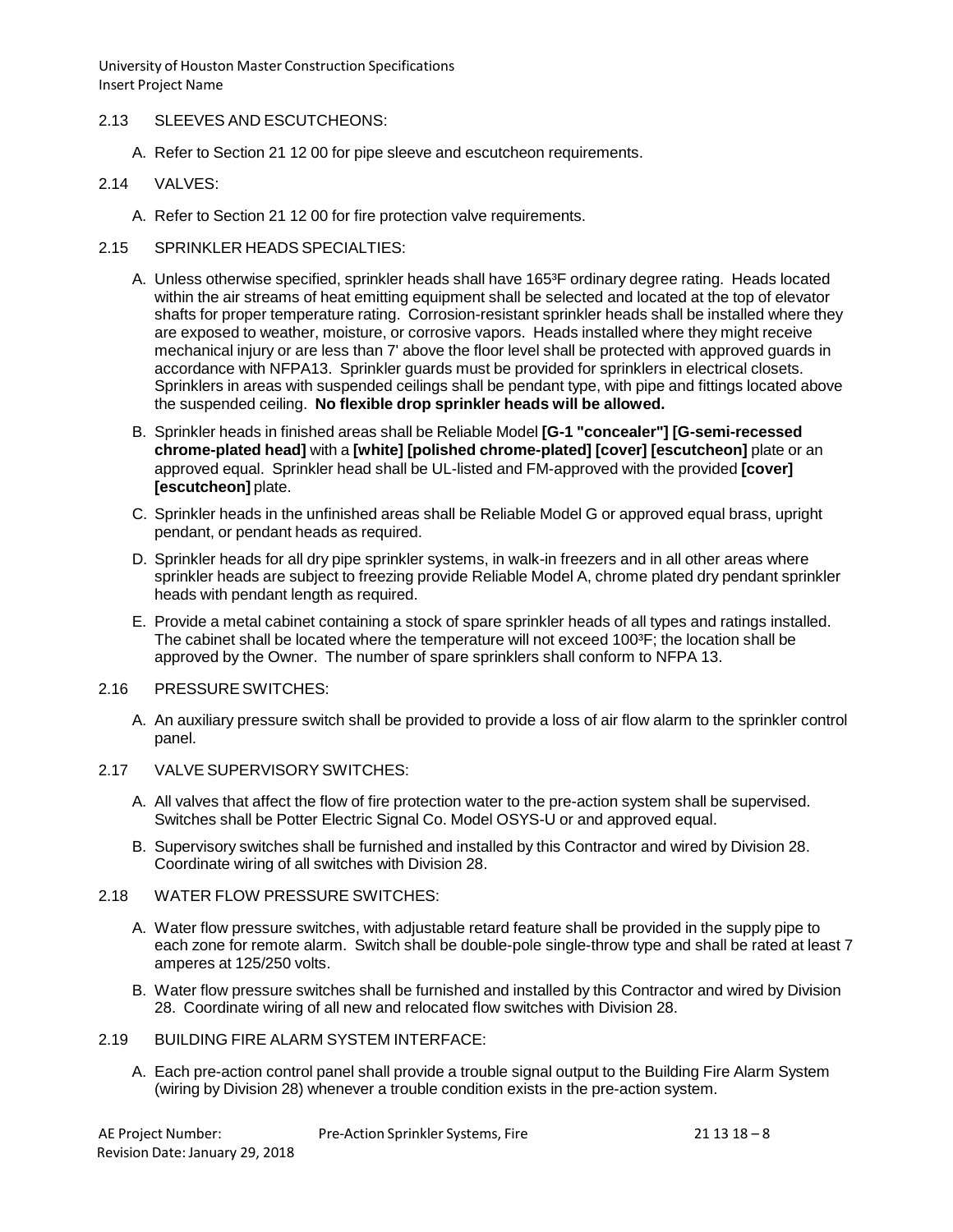# 2.13 SLEEVES AND ESCUTCHEONS:

A. Refer to Section 21 12 00 for pipe sleeve and escutcheon requirements.

### 2.14 VALVES:

A. Refer to Section 21 12 00 for fire protection valve requirements.

### 2.15 SPRINKLER HEADS SPECIALTIES:

- A. Unless otherwise specified, sprinkler heads shall have 165<sup>3</sup>F ordinary degree rating. Heads located within the air streams of heat emitting equipment shall be selected and located at the top of elevator shafts for proper temperature rating. Corrosion-resistant sprinkler heads shall be installed where they are exposed to weather, moisture, or corrosive vapors. Heads installed where they might receive mechanical injury or are less than 7' above the floor level shall be protected with approved guards in accordance with NFPA13. Sprinkler guards must be provided for sprinklers in electrical closets. Sprinklers in areas with suspended ceilings shall be pendant type, with pipe and fittings located above the suspended ceiling. **No flexible drop sprinkler heads will be allowed.**
- B. Sprinkler heads in finished areas shall be Reliable Model **[G-1 "concealer"] [G-semi-recessed chrome-plated head]** with a **[white] [polished chrome-plated] [cover] [escutcheon]** plate or an approved equal. Sprinkler head shall be UL-listed and FM-approved with the provided **[cover] [escutcheon]** plate.
- C. Sprinkler heads in the unfinished areas shall be Reliable Model G or approved equal brass, upright pendant, or pendant heads as required.
- D. Sprinkler heads for all dry pipe sprinkler systems, in walk-in freezers and in all other areas where sprinkler heads are subject to freezing provide Reliable Model A, chrome plated dry pendant sprinkler heads with pendant length as required.
- E. Provide a metal cabinet containing a stock of spare sprinkler heads of all types and ratings installed. The cabinet shall be located where the temperature will not exceed 100<sup>3</sup>F; the location shall be approved by the Owner. The number of spare sprinklers shall conform to NFPA 13.

#### 2.16 PRESSURE SWITCHES:

A. An auxiliary pressure switch shall be provided to provide a loss of air flow alarm to the sprinkler control panel.

# 2.17 VALVE SUPERVISORY SWITCHES:

- A. All valves that affect the flow of fire protection water to the pre-action system shall be supervised. Switches shall be Potter Electric Signal Co. Model OSYS-U or and approved equal.
- B. Supervisory switches shall be furnished and installed by this Contractor and wired by Division 28. Coordinate wiring of all switches with Division 28.

#### 2.18 WATER FLOW PRESSURE SWITCHES:

- A. Water flow pressure switches, with adjustable retard feature shall be provided in the supply pipe to each zone for remote alarm. Switch shall be double-pole single-throw type and shall be rated at least 7 amperes at 125/250 volts.
- B. Water flow pressure switches shall be furnished and installed by this Contractor and wired by Division 28. Coordinate wiring of all new and relocated flow switches with Division 28.

### 2.19 BUILDING FIRE ALARM SYSTEM INTERFACE:

A. Each pre-action control panel shall provide a trouble signal output to the Building Fire Alarm System (wiring by Division 28) whenever a trouble condition exists in the pre-action system.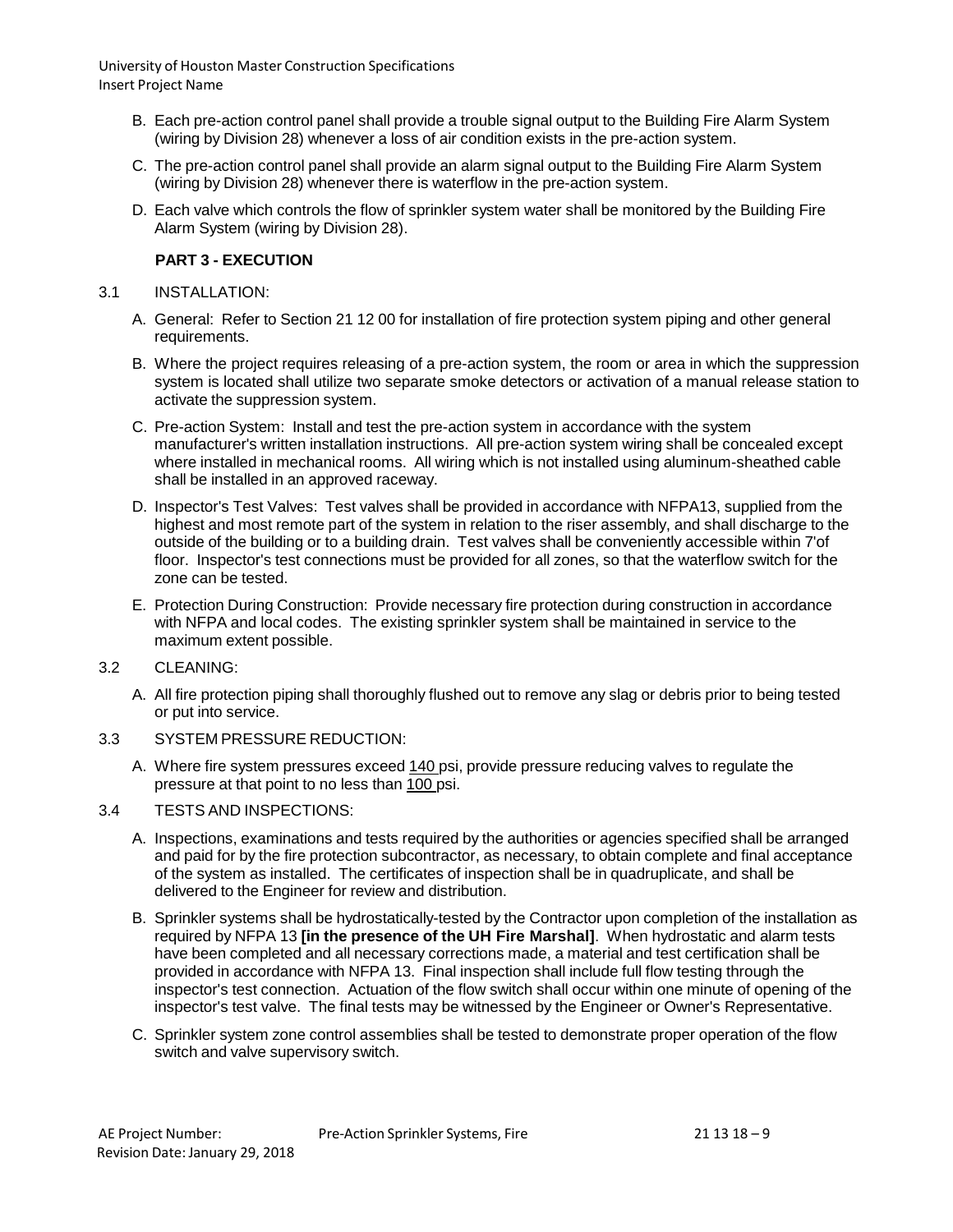- B. Each pre-action control panel shall provide a trouble signal output to the Building Fire Alarm System (wiring by Division 28) whenever a loss of air condition exists in the pre-action system.
- C. The pre-action control panel shall provide an alarm signal output to the Building Fire Alarm System (wiring by Division 28) whenever there is waterflow in the pre-action system.
- D. Each valve which controls the flow of sprinkler system water shall be monitored by the Building Fire Alarm System (wiring by Division 28).

# **PART 3 - EXECUTION**

# 3.1 INSTALLATION:

- A. General: Refer to Section 21 12 00 for installation of fire protection system piping and other general requirements.
- B. Where the project requires releasing of a pre-action system, the room or area in which the suppression system is located shall utilize two separate smoke detectors or activation of a manual release station to activate the suppression system.
- C. Pre-action System: Install and test the pre-action system in accordance with the system manufacturer's written installation instructions. All pre-action system wiring shall be concealed except where installed in mechanical rooms. All wiring which is not installed using aluminum-sheathed cable shall be installed in an approved raceway.
- D. Inspector's Test Valves: Test valves shall be provided in accordance with NFPA13, supplied from the highest and most remote part of the system in relation to the riser assembly, and shall discharge to the outside of the building or to a building drain. Test valves shall be conveniently accessible within 7'of floor. Inspector's test connections must be provided for all zones, so that the waterflow switch for the zone can be tested.
- E. Protection During Construction: Provide necessary fire protection during construction in accordance with NFPA and local codes. The existing sprinkler system shall be maintained in service to the maximum extent possible.
- 3.2 CLEANING:
	- A. All fire protection piping shall thoroughly flushed out to remove any slag or debris prior to being tested or put into service.
- 3.3 SYSTEM PRESSURE REDUCTION:
	- A. Where fire system pressures exceed 140 psi, provide pressure reducing valves to regulate the pressure at that point to no less than 100 psi.

# 3.4 TESTS AND INSPECTIONS:

- A. Inspections, examinations and tests required by the authorities or agencies specified shall be arranged and paid for by the fire protection subcontractor, as necessary, to obtain complete and final acceptance of the system as installed. The certificates of inspection shall be in quadruplicate, and shall be delivered to the Engineer for review and distribution.
- B. Sprinkler systems shall be hydrostatically-tested by the Contractor upon completion of the installation as required by NFPA 13 **[in the presence of the UH Fire Marshal]**. When hydrostatic and alarm tests have been completed and all necessary corrections made, a material and test certification shall be provided in accordance with NFPA 13. Final inspection shall include full flow testing through the inspector's test connection. Actuation of the flow switch shall occur within one minute of opening of the inspector's test valve. The final tests may be witnessed by the Engineer or Owner's Representative.
- C. Sprinkler system zone control assemblies shall be tested to demonstrate proper operation of the flow switch and valve supervisory switch.